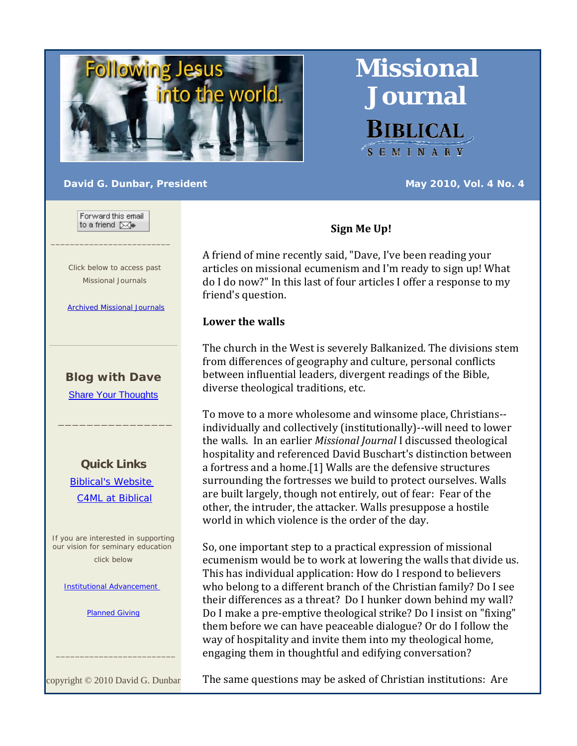

**Journal BIBLICAL** SEMINARY

**Missional** 

#### **David G. Dunbar, President May 2010, Vol. 4 No. 4**

Forward this email to a friend [XX]

 $\_$ 

 Click below to access past Missional Journals

Archived Missional Journals

# **Blog with Dave**

Share Your Thoughts

 $\overline{\phantom{a}}$  ,  $\overline{\phantom{a}}$  ,  $\overline{\phantom{a}}$  ,  $\overline{\phantom{a}}$  ,  $\overline{\phantom{a}}$  ,  $\overline{\phantom{a}}$  ,  $\overline{\phantom{a}}$  ,  $\overline{\phantom{a}}$  ,  $\overline{\phantom{a}}$  ,  $\overline{\phantom{a}}$  ,  $\overline{\phantom{a}}$  ,  $\overline{\phantom{a}}$  ,  $\overline{\phantom{a}}$  ,  $\overline{\phantom{a}}$  ,  $\overline{\phantom{a}}$  ,  $\overline{\phantom{a}}$ 

**Quick Links** Biblical's Website C4ML at Biblical

If you are interested in supporting our vision for seminary education click below

**Institutional Advancement** 

Planned Giving

copyright © 2010 David G. Dunbar

 $\frac{1}{2}$  ,  $\frac{1}{2}$  ,  $\frac{1}{2}$  ,  $\frac{1}{2}$  ,  $\frac{1}{2}$  ,  $\frac{1}{2}$  ,  $\frac{1}{2}$  ,  $\frac{1}{2}$  ,  $\frac{1}{2}$  ,  $\frac{1}{2}$  ,  $\frac{1}{2}$  ,  $\frac{1}{2}$  ,  $\frac{1}{2}$  ,  $\frac{1}{2}$  ,  $\frac{1}{2}$  ,  $\frac{1}{2}$  ,  $\frac{1}{2}$  ,  $\frac{1}{2}$  ,  $\frac{1$ 

## **Sign Me Up!**

A friend of mine recently said, "Dave, I've been reading your articles on missional ecumenism and I'm ready to sign up! What do I do now?" In this last of four articles I offer a response to my friend's question.

## **Lower the walls**

The church in the West is severely Balkanized. The divisions stem from differences of geography and culture, personal conflicts between influential leaders, divergent readings of the Bible, diverse theological traditions, etc.

To move to a more wholesome and winsome place, Christians‐‐ individually and collectively (institutionally)‐‐will need to lower the walls. In an earlier *Missional Journal* I discussed theological hospitality and referenced David Buschart's distinction between a fortress and a home.[1] Walls are the defensive structures surrounding the fortresses we build to protect ourselves. Walls are built largely, though not entirely, out of fear: Fear of the other, the intruder, the attacker. Walls presuppose a hostile world in which violence is the order of the day.

So, one important step to a practical expression of missional ecumenism would be to work at lowering the walls that divide us. This has individual application: How do I respond to believers who belong to a different branch of the Christian family? Do I see their differences as a threat? Do I hunker down behind my wall? Do I make a pre‐emptive theological strike? Do I insist on "fixing" them before we can have peaceable dialogue? Or do I follow the way of hospitality and invite them into my theological home, engaging them in thoughtful and edifying conversation?

The same questions may be asked of Christian institutions: Are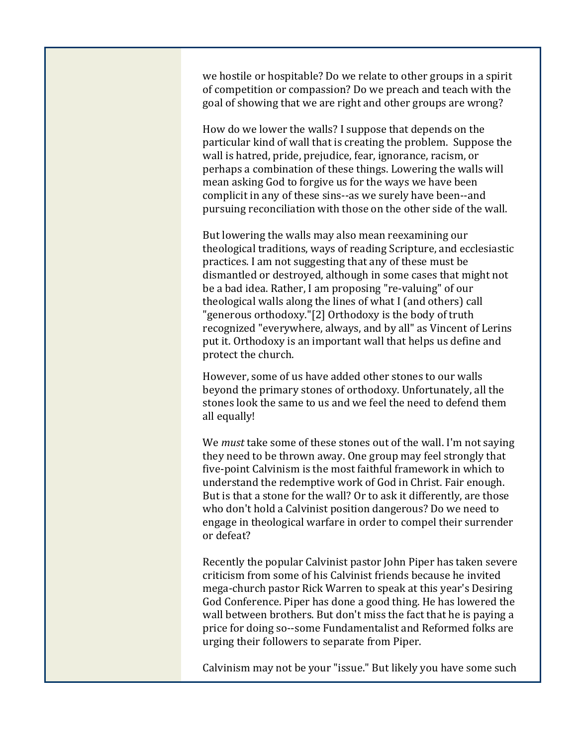we hostile or hospitable? Do we relate to other groups in a spirit of competition or compassion? Do we preach and teach with the goal of showing that we are right and other groups are wrong?

How do we lower the walls? I suppose that depends on the particular kind of wall that is creating the problem. Suppose the wall is hatred, pride, prejudice, fear, ignorance, racism, or perhaps a combination of these things. Lowering the walls will mean asking God to forgive us for the ways we have been complicit in any of these sins‐‐as we surely have been‐‐and pursuing reconciliation with those on the other side of the wall.

But lowering the walls may also mean reexamining our theological traditions, ways of reading Scripture, and ecclesiastic practices. I am not suggesting that any of these must be dismantled or destroyed, although in some cases that might not be a bad idea. Rather, I am proposing "re‐valuing" of our theological walls along the lines of what I (and others) call "generous orthodoxy."[2] Orthodoxy is the body of truth recognized "everywhere, always, and by all" as Vincent of Lerins put it. Orthodoxy is an important wall that helps us define and protect the church.

However, some of us have added other stones to our walls beyond the primary stones of orthodoxy. Unfortunately, all the stones look the same to us and we feel the need to defend them all equally!

We *must* take some of these stones out of the wall. I'm not saying they need to be thrown away. One group may feel strongly that five‐point Calvinism is the most faithful framework in which to understand the redemptive work of God in Christ. Fair enough. But is that a stone for the wall? Or to ask it differently, are those who don't hold a Calvinist position dangerous? Do we need to engage in theological warfare in order to compel their surrender or defeat?

Recently the popular Calvinist pastor John Piper has taken severe criticism from some of his Calvinist friends because he invited mega‐church pastor Rick Warren to speak at this year's Desiring God Conference. Piper has done a good thing. He has lowered the wall between brothers. But don't miss the fact that he is paying a price for doing so‐‐some Fundamentalist and Reformed folks are urging their followers to separate from Piper.

Calvinism may not be your "issue." But likely you have some such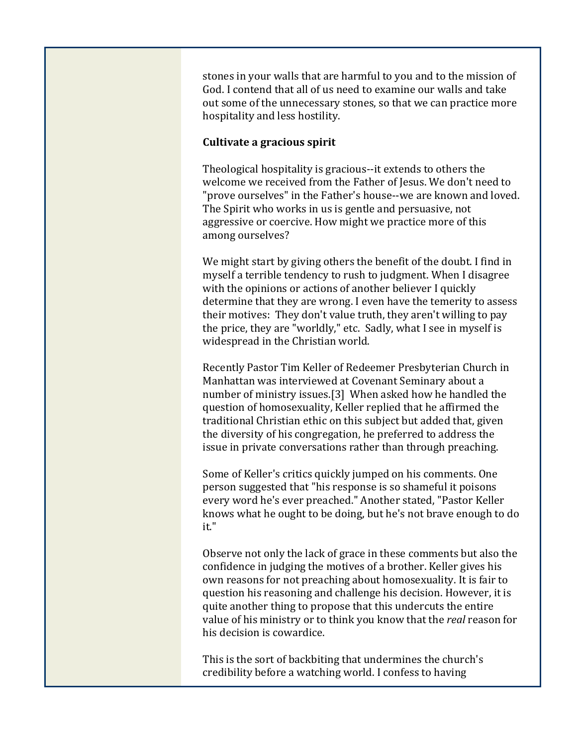stones in your walls that are harmful to you and to the mission of God. I contend that all of us need to examine our walls and take out some of the unnecessary stones, so that we can practice more hospitality and less hostility.

## **Cultivate a gracious spirit**

Theological hospitality is gracious‐‐it extends to others the welcome we received from the Father of Jesus. We don't need to "prove ourselves" in the Father's house‐‐we are known and loved. The Spirit who works in us is gentle and persuasive, not aggressive or coercive. How might we practice more of this among ourselves?

We might start by giving others the benefit of the doubt. I find in myself a terrible tendency to rush to judgment. When I disagree with the opinions or actions of another believer I quickly determine that they are wrong. I even have the temerity to assess their motives: They don't value truth, they aren't willing to pay the price, they are "worldly," etc. Sadly, what I see in myself is widespread in the Christian world.

Recently Pastor Tim Keller of Redeemer Presbyterian Church in Manhattan was interviewed at Covenant Seminary about a number of ministry issues.[3] When asked how he handled the question of homosexuality, Keller replied that he affirmed the traditional Christian ethic on this subject but added that, given the diversity of his congregation, he preferred to address the issue in private conversations rather than through preaching.

Some of Keller's critics quickly jumped on his comments. One person suggested that "his response is so shameful it poisons every word he's ever preached." Another stated, "Pastor Keller knows what he ought to be doing, but he's not brave enough to do it."

Observe not only the lack of grace in these comments but also the confidence in judging the motives of a brother. Keller gives his own reasons for not preaching about homosexuality. It is fair to question his reasoning and challenge his decision. However, it is quite another thing to propose that this undercuts the entire value of his ministry or to think you know that the *real* reason for his decision is cowardice.

This is the sort of backbiting that undermines the church's credibility before a watching world. I confess to having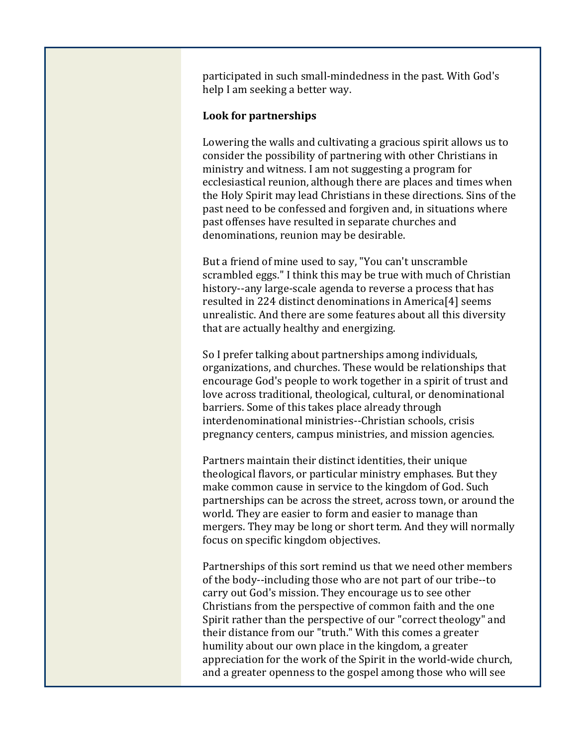participated in such small‐mindedness in the past. With God's help I am seeking a better way.

### **Look for partnerships**

Lowering the walls and cultivating a gracious spirit allows us to consider the possibility of partnering with other Christians in ministry and witness. I am not suggesting a program for ecclesiastical reunion, although there are places and times when the Holy Spirit may lead Christians in these directions. Sins of the past need to be confessed and forgiven and, in situations where past offenses have resulted in separate churches and denominations, reunion may be desirable.

But a friend of mine used to say, "You can't unscramble scrambled eggs." I think this may be true with much of Christian history--any large-scale agenda to reverse a process that has resulted in 224 distinct denominations in America[4] seems unrealistic. And there are some features about all this diversity that are actually healthy and energizing.

So I prefer talking about partnerships among individuals, organizations, and churches. These would be relationships that encourage God's people to work together in a spirit of trust and love across traditional, theological, cultural, or denominational barriers. Some of this takes place already through interdenominational ministries‐‐Christian schools, crisis pregnancy centers, campus ministries, and mission agencies.

Partners maintain their distinct identities, their unique theological flavors, or particular ministry emphases. But they make common cause in service to the kingdom of God. Such partnerships can be across the street, across town, or around the world. They are easier to form and easier to manage than mergers. They may be long or short term. And they will normally focus on specific kingdom objectives.

Partnerships of this sort remind us that we need other members of the body‐‐including those who are not part of our tribe‐‐to carry out God's mission. They encourage us to see other Christians from the perspective of common faith and the one Spirit rather than the perspective of our "correct theology" and their distance from our "truth." With this comes a greater humility about our own place in the kingdom, a greater appreciation for the work of the Spirit in the world‐wide church, and a greater openness to the gospel among those who will see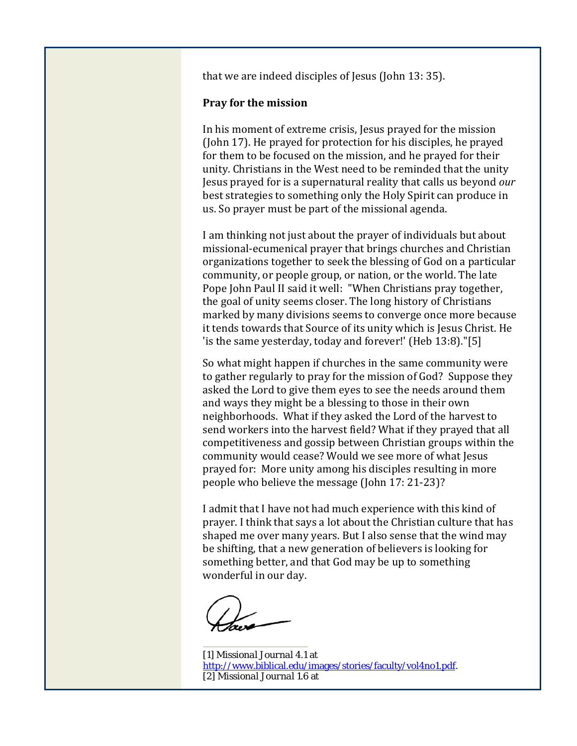that we are indeed disciples of Jesus (John 13: 35).

#### **Pray for the mission**

In his moment of extreme crisis, Jesus prayed for the mission (John 17). He prayed for protection for his disciples, he prayed for them to be focused on the mission, and he prayed for their unity. Christians in the West need to be reminded that the unity Jesus prayed for is a supernatural reality that calls us beyond *our* best strategies to something only the Holy Spirit can produce in us. So prayer must be part of the missional agenda.

I am thinking not just about the prayer of individuals but about missional‐ecumenical prayer that brings churches and Christian organizations together to seek the blessing of God on a particular community, or people group, or nation, or the world. The late Pope John Paul II said it well: "When Christians pray together, the goal of unity seems closer. The long history of Christians marked by many divisions seems to converge once more because it tends towards that Source of its unity which is Jesus Christ. He 'is the same yesterday, today and forever!' (Heb 13:8)."[5]

So what might happen if churches in the same community were to gather regularly to pray for the mission of God? Suppose they asked the Lord to give them eyes to see the needs around them and ways they might be a blessing to those in their own neighborhoods. What if they asked the Lord of the harvest to send workers into the harvest field? What if they prayed that all competitiveness and gossip between Christian groups within the community would cease? Would we see more of what Jesus prayed for: More unity among his disciples resulting in more people who believe the message (John 17: 21‐23)?

I admit that I have not had much experience with this kind of prayer. I think that says a lot about the Christian culture that has shaped me over many years. But I also sense that the wind may be shifting, that a new generation of believers is looking for something better, and that God may be up to something wonderful in our day.

[1] *Missional Journal* 4.1 at http://www.biblical.edu/images/stories/faculty/vol4no1.pdf. [2] *Missional Journal* 1.6 at